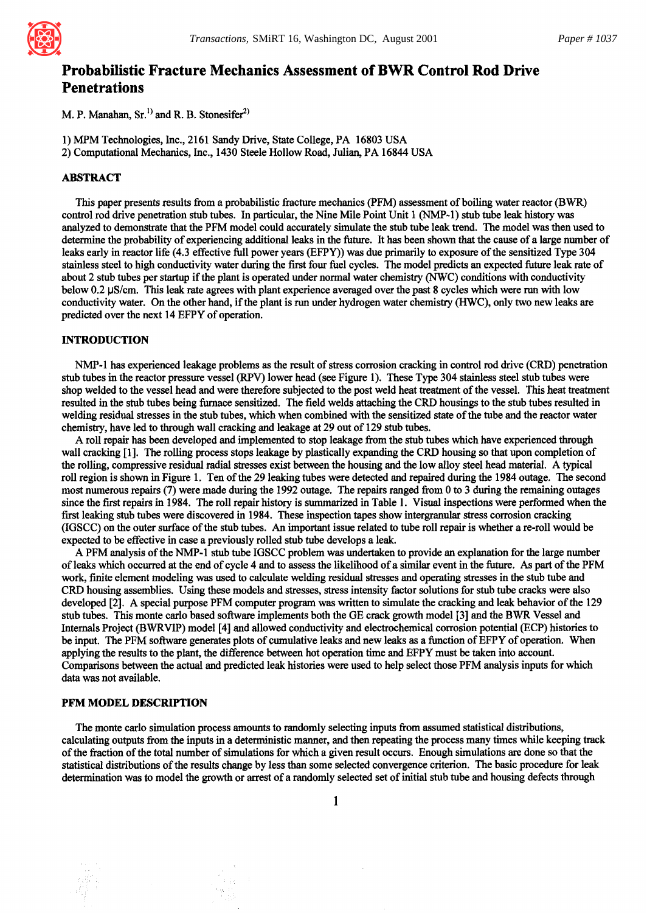

# **Probabilistic Fracture Mechanics Assessment of BWR Control Rod Drive Penetrations**

M. P. Manahan,  $Sr^{1)}$  and R. B. Stonesifer<sup>2)</sup>

1) MPM Technologies, Inc., 2161 Sandy Drive, State College, PA 16803 USA 2) Computational Mechanics, Inc., 1430 Steele Hollow Road, Julian, PA 16844 USA

# ABSTRACT

This paper presents results from a probabilistic fracture mechanics (PFM) assessment of boiling water reactor (BWR) control rod drive penetration stub tubes. In particular, the Nine Mile Point Unit 1 (NMP-1) stub tube leak history was analyzed to demonstrate that the PFM model could accurately simulate the stub tube leak trend. The model was then used to determine the probability of experiencing additional leaks in the future. It has been shown that the cause of a large number of leaks early in reactor life (4.3 effective full power years (EFPY)) was due primarily to exposure of the sensitized Type 304 stainless steel to high conductivity water during the fnst four fuel cycles. The model predicts an expected future leak rate of about 2 stub tubes per startup if the plant is operated under normal water chemistry (NWC) conditions with conductivity below 0.2  $\mu$ S/cm. This leak rate agrees with plant experience averaged over the past 8 cycles which were run with low conductivity water. On the other hand, if the plant is run under hydrogen water chemistry (HWC), only two new leaks are predicted over the next 14 EFPY of operation.

## INTRODUCTION

NMP-1 has experienced leakage problems as the result of stress corrosion cracking in control rod drive (CRD) penetration stub tubes in the reactor pressure vessel (RPV) lower head (see Figure 1). These Type 304 stainless steel stub tubes were shop welded to the vessel head and were therefore subjected to the post weld heat treatment of the vessel. This heat treatment resulted in the stub tubes being furnace sensitized. The field welds attaching the CRD housings to the stub tubes resulted in welding residual stresses in the stub tubes, which when combined with the sensitized state of the tube and the reactor water chemistry, have led to through wall cracking and leakage at 29 out of 129 stub tubes.

A roll repair has been developed and implemented to stop leakage from the stub tubes which have experienced through wall cracking [1]. The rolling process stops leakage by plastically expanding the CRD housing so that upon completion of the rolling, compressive residual radial stresses exist between the housing and the low alloy steel head material. A typical roll region is shown in Figure 1. Ten of the 29 leaking tubes were detected and repaired during the 1984 outage. The second most numerous repairs (7) were made during the 1992 outage. The repairs ranged from 0 to 3 during the remaining outages since the first repairs in 1984. The roll repair history is summarized in Table 1. Visual inspections were performed when the first leaking stub tubes were discovered in 1984. These inspection tapes show intergranular stress corrosion cracking (IGSCC) on the outer surface of the stub tubes. An important issue related to tube roll repair is whether a re-roll would be expected to be effective in case a previously rolled stub tube develops a leak.

A PFM analysis of the NMP-1 stub tube IGSCC problem was undertaken to provide an explanation for the large number of leaks which occurred at the end of cycle 4 and to assess the likelihood of a similar event in the future. As part of the PFM work, finite element modeling was used to calculate welding residual stresses and operating stresses in the stub tube and CRD housing assemblies. Using these models and stresses, stress intensity factor solutions for stub tube cracks were also developed [2]. A special purpose PFM computer program was written to simulate the cracking and leak behavior of the 129 stub tubes. This monte carlo based software implements both the GE crack growth model [3] and the BWR Vessel and Internals Project (BWRVIP) model [4] and allowed conductivity and electrochemical corrosion potential (ECP) histories to be input. The PFM software generates plots of cumulative leaks and new leaks as a function of EFPY of operation. When applying the results to the plant, the difference between hot operation time and EFPY must be taken into account. Comparisons between the actual and predicted leak histories were used to help select those PFM analysis inputs for which data was not available.

#### **PFM MODEL DESCRIPTION**

The monte carlo simulation process amounts to randomly selecting inputs from assumed statistical distributions, calculating outputs from the inputs in a deterministic manner, and then repeating the process many times while keeping track of the fraction of the total number of simulations for which a given result occurs. Enough simulations are done so that the statistical distributions of the results change by less than some selected convergence criterion. The basic procedure for leak determination was to model the growth or arrest of a randomly selected set of initial stub tube and housing defects through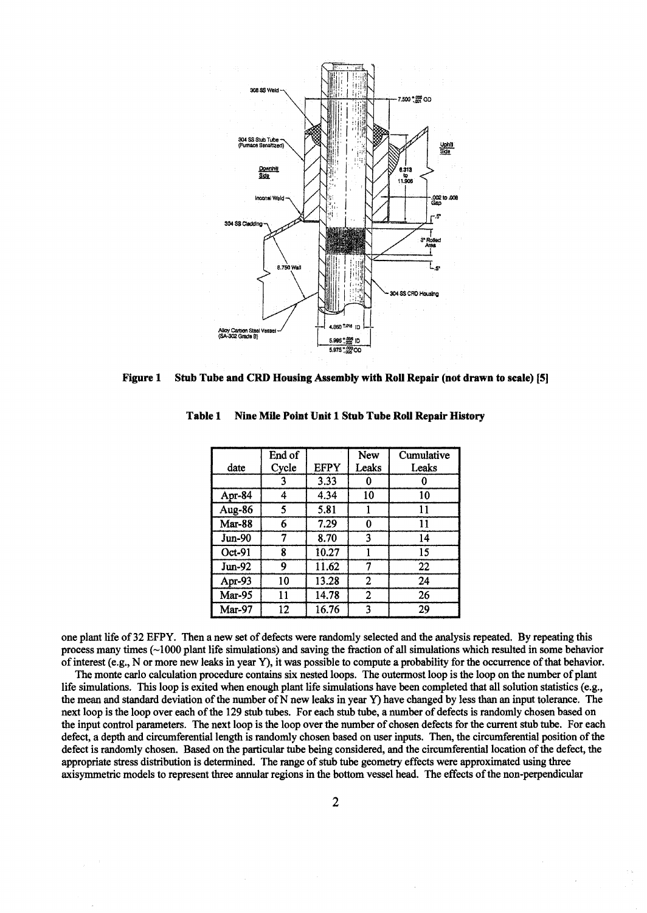

Stub Tube and CRD Housing Assembly with Roll Repair (not drawn to scale) [5] **Figure 1** 

|               | End of |             | New   | Cumulative |
|---------------|--------|-------------|-------|------------|
| date          | Cycle  | <b>EFPY</b> | Leaks | Leaks      |
|               | 3      | 3.33        |       |            |
| Apr-84        | 4      | 4.34        | 10    | 10         |
| Aug-86        | 5      | 5.81        |       | 11         |
| <b>Mar-88</b> | 6      | 7.29        | 0     | 11         |
| <b>Jun-90</b> | 7      | 8.70        | 3     | 14         |
| Oct-91        | 8      | 10.27       |       | 15         |
| Jun-92        | 9      | 11.62       |       | 22         |
| Apr-93        | 10     | 13.28       | 2     | 24         |
| Mar-95        | 11     | 14.78       | 2     | 26         |
| <b>Mar-97</b> | 12     | 16.76       | 3     | 29         |

Nine Mile Point Unit 1 Stub Tube Roll Repair History Table 1

one plant life of 32 EFPY. Then a new set of defects were randomly selected and the analysis repeated. By repeating this process many times  $(\sim 1000)$  plant life simulations) and saving the fraction of all simulations which resulted in some behavior of interest (e.g., N or more new leaks in year Y), it was possible to compute a probability for the occurrence of that behavior.

The monte carlo calculation procedure contains six nested loops. The outermost loop is the loop on the number of plant life simulations. This loop is exited when enough plant life simulations have been completed that all solution statistics (e.g., the mean and standard deviation of the number of N new leaks in year Y) have changed by less than an input tolerance. The next loop is the loop over each of the 129 stub tubes. For each stub tube, a number of defects is randomly chosen based on the input control parameters. The next loop is the loop over the number of chosen defects for the current stub tube. For each defect, a depth and circumferential length is randomly chosen based on user inputs. Then, the circumferential position of the defect is randomly chosen. Based on the particular tube being considered, and the circumferential location of the defect, the appropriate stress distribution is determined. The range of stub tube geometry effects were approximated using three axisymmetric models to represent three annular regions in the bottom vessel head. The effects of the non-perpendicular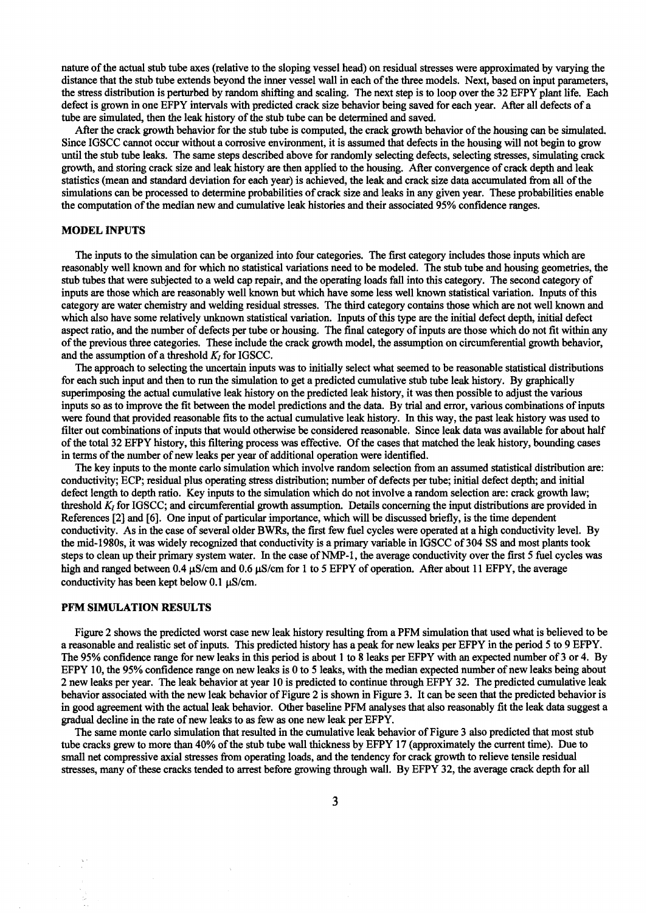nature of the actual stub tube axes (relative to the sloping vessel head) on residual stresses were approximated by varying the distance that the stub tube extends beyond the inner vessel wall in each of the three models. Next, based on input parameters, the stress distribution is perturbed by random shifting and scaling. The next step is to loop over the 32 EFPY plant life. Each defect is grown in one EFPY intervals with predicted crack size behavior being saved for each year. After all defects of a tube are simulated, then the leak history of the stub tube can be determined and saved.

After the crack growth behavior for the stub tube is computed, the crack growth behavior of the homing can be simulated. Since IGSCC cannot occur without a corrosive environment, it is assumed that defects in the housing will not begin to grow until the stub tube leaks. The same steps described above for randomly selecting defects, selecting stresses, simulating crack growth, and storing crack size and leak history are then applied to the housing. After convergence of crack depth and leak statistics (mean and standard deviation for each year) is achieved, the leak and crack size data accumulated from all of the simulations can be processed to determine probabilities of crack size and leaks in any given year. These probabilities enable the computation of the median new and cumulative leak histories and their associated *95%* confidence ranges.

### **MODEL INPUTS**

The inputs to the simulation can be organized into four categories. The first category includes those inputs which are reasonably well known and for which no statistical variations need to be modeled. The stub tube and housing geometries, the stub tubes that were subjected to a weld cap repair, and the operating loads fall into this category. The second category of inputs are those which are reasonably well known but which have some less well known statistical variation. Inputs of this category are water chemistry and welding residual stresses. The third category contains those which are not well known and which also have some relatively unknown statistical variation. Inputs of this type are the initial defect depth, initial defect aspect ratio, and the number of defects per tube or housing. The final category of inputs are those which do not fit within any of the previous three categories. These include the crack growth model, the assumption on circumferential growth behavior, and the assumption of a threshold  $K_I$  for IGSCC.

The approach to selecting the uncertain inputs was to initially select what seemed to be reasonable statistical distributions for each such input and then to run the simulation to get a predicted cumulative stub tube leak history. By graphically superimposing the actual cumulative leak history on the predicted leak history, it was then possible to adjust the various inputs so as to improve the fit between the model predictions and the data. By trial and error, various combinations of inputs were found that provided reasonable fits to the actual cumulative leak history. In this way, the past leak history was used to filter out combinations of inputs that would otherwise be considered reasonable. Since leak data was available for about half of the total 32 EFPY history, this filtering process was effective. Of the cases that matched the leak history, bounding cases in terms of the number of new leaks per year of additional operation were identified.

The key inputs to the monte carlo simulation which involve random selection from an assumed statistical distribution are: conductivity; ECP; residual plus operating stress distribution; number of defects per tube; initial defect depth; and initial defect length to depth ratio. Key inputs to the simulation which do not involve a random selection are: crack growth law; threshold  $K_t$  for IGSCC; and circumferential growth assumption. Details concerning the input distributions are provided in References [2] and [6]. One input of particular importance, which will be discussed briefly, is the time dependent conductivity. As in the case of several older BWRs, the first few fuel cycles were operated at a high conductivity level. By the mid-1980s, it was widely recognized that conductivity is a primary variable in IGSCC of 304 SS and most plants took steps to clean up their primary system water. In the case of NMP-1, the average conductivity over the first 5 fuel cycles was high and ranged between 0.4  $\mu$ S/cm and 0.6  $\mu$ S/cm for 1 to 5 EFPY of operation. After about 11 EFPY, the average conductivity has been kept below  $0.1 \mu S/cm$ .

## **PFM SIMULATION RESULTS**

Figure 2 shows the predicted worst case new leak history resulting from a PFM simulation that used what is believed to be a reasonable and realistic set of inputs. This predicted history has a peak for new leaks per EFPY in the period 5 to 9 EFPY. The 95% confidence range for new leaks in this period is about 1 to 8 leaks per EFPY with an expected number of 3 or 4. By EFPY 10, the 95% confidence range on new leaks is 0 to 5 leaks, with the median expected number of new leaks being about 2 new leaks per year. The leak behavior at year 10 is predicted to continue through EFPY 32. The predicted cumulative leak behavior associated with the new leak behavior of Figure 2 is shown in Figure 3. It can be seen that the predicted behavior is in good agreement with the actual leak behavior. Other baseline PFM analyses that also reasonably fit the leak data suggest a gradual decline in the rate of new leaks to as few as one new leak per EFPY.

The same monte carlo simulation that resulted in the cumulative leak behavior of Figure 3 also predicted that most stub tube cracks grew to more than 40% of the stub tube wall thickness by EFPY 17 (approximately the current time). Due to small net compressive axial stresses from operating loads, and the tendency for crack growth to relieve tensile residual stresses, many of these cracks tended to arrest before growing through wall. By EFPY 32, the average crack depth for all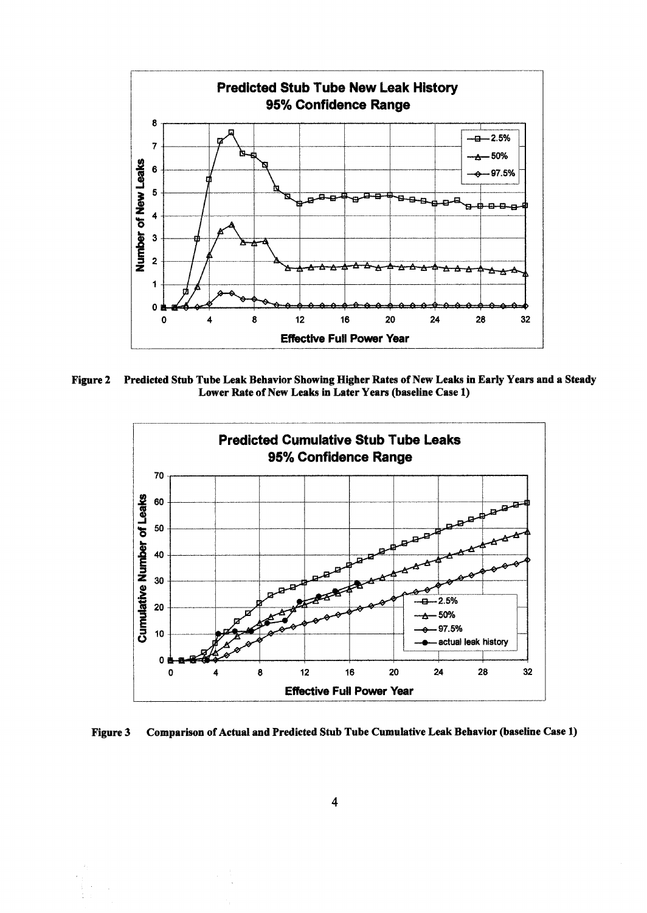

**Figure 2 Predicted Stub Tube Leak Behavior Showing Higher Rates of New Leaks in Early Years and a Steady Lower Rate of New Leaks in Later Years (baseline Case 1)** 



**Figure 3 Comparison of Actual and Predicted Stub Tube Cumulative Leak Behavior (baseline Case 1)**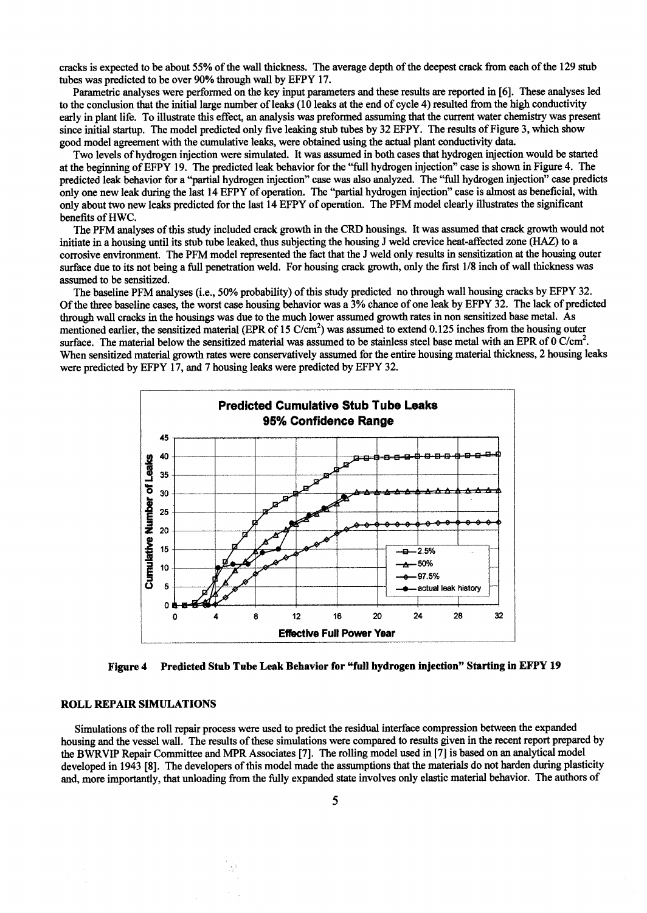cracks is expected to be about 55% of the wall thickness. The average depth of the deepest crack from each of the 129 stub tubes was predicted to be over 90% through wall by EFPY 17.

Parametric analyses were performed on the key input parameters and these results are reported in [6]. These analyses led to the conclusion that the initial large number of leaks (10 leaks at the end of cycle 4) resulted from the high conductivity early in plant life. To illustrate this effect, an analysis was preformed assuming that the eurrem water chemistry was present since initial startup. The model predicted only five leaking stub tubes by 32 EFPY. The results of Figure 3, which show good model agreement with the cumulative leaks, were obtained using the actual plant conductivity data.

Two levels of hydrogen injection were simulated. It was assumed in both cases that hydrogen injection would be started at the beginning of EFPY 19. The predicted leak behavior for the "full hydrogen injection" ease is shown in Figure 4. The predicted leak behavior for a "partial hydrogen injection" case was also analyzed. The "full hydrogen injection" case predicts only one new leak during the last 14 EFPY of operation. The "partial hydrogen injection" ease is almost as beneficial, with only about two new leaks predicted for the last 14 EFPY of operation. The PFM model clearly illustrates the significant benefits of HWC.

The PFM analyses of this study included crack growth in the CRD housings. It was assumed that crack growth would not initiate in a housing until its stub tube leaked, thus subjecting the housing J weld crevice heat-affected zone (HAZ) to a corrosive environment. The PFM model represented the fact that the J weld only results in sensitization at the housing outer surface due to its not being a full penetration weld. For housing crack growth, only the first 1/8 inch of wall thickness was assumed to be sensitized.

The baseline PFM analyses (i.e., 50% probability) of this study predicted no through wall housing cracks by EFPY 32. Of the three baseline eases, the worst case housing behavior was a 3% chance of one leak by EFPY 32. The lack of predicted through wall cracks in the housings was due to the much lower assumed growth rates in non sensitized base metal. As mentioned earlier, the sensitized material (EPR of 15  $C/cm<sup>2</sup>$ ) was assumed to extend 0.125 inches from the housing outer surface. The material below the sensitized material was assumed to be stainless steel base metal with an EPR of  $0 \text{ C/cm}^2$ . When sensitized material growth rates were conservatively assumed for the entire housing material thickness, 2 housing leaks were predicted by EFPY 17, and 7 housing leaks were predicted by EFPY 32.



**Figure 4 Predicted Stub Tube Leak Behavior for "full hydrogen injection" Starting in EFPY 19** 

#### **ROLL REPAIR SIMULATIONS**

Simulations of the roll repair process were used to predict the residual interface compression between the expanded housing and the vessel wall. The results of these simulations were compared to results given in the recent report prepared by the BWRVIP Repair Committee and MPR Associates [7]. The rolling model used in [7] is based on an analytical model developed in 1943 [8]. The developers of this model made the assumptions that the materials do not harden during plasticity and, more importantly, that unloading from the fully expanded state involves only elastic material behavior. The authors of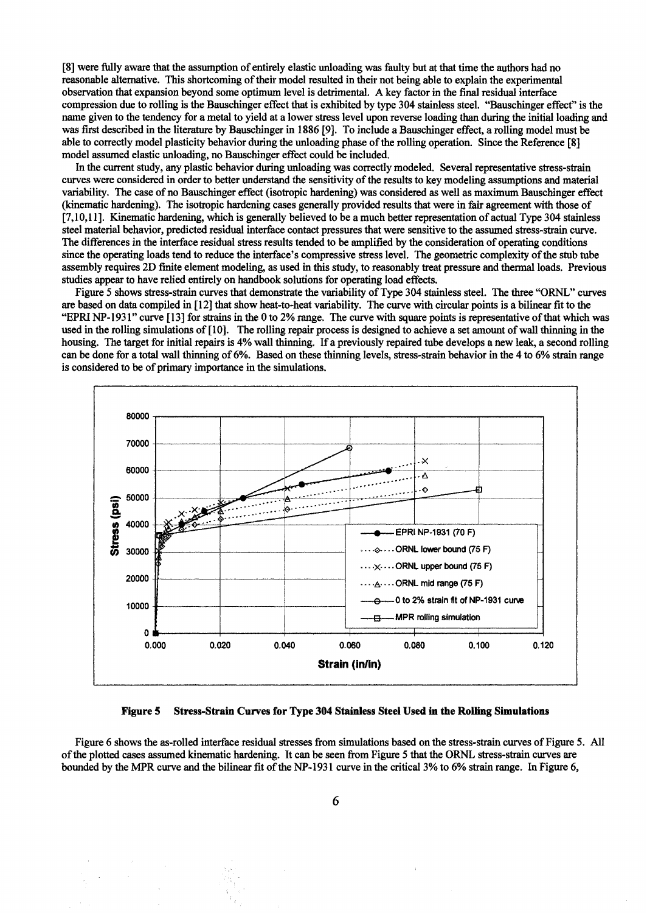[8] were fully aware that the assumption of entirely elastic unloading was faulty but at that time the authors had no reasonable altemative. This shortcoming of their model resulted in their not being able to explain the experimental observation that expansion beyond some optimum level is detrimental. A key factor in the final residual interface compression due to rolling is the Bauschinger effect that is exhibited by type 304 stainless steel. "Bauschinger effect" is the name given to the tendency for a metal to yield at a lower stress level upon reverse loading than during the initial loading and was first described in the literature by Bauschinger in 1886 [9]. To include a Bauschinger effect, a rolling model must be able to correctly model plasticity behavior during the unloading phase of the rolling operation. Since the Reference [8] model assumed elastic unloading, no Bauschinger effect could be included.

In the current study, any plastic behavior during unloading was correctly modeled. Several representative stress-strain curves were considered in order to better understand the sensitivity of the results to key modeling assumptions and material variability. The case of no Bauschinger effect (isotropic hardening) was considered as well as maximum Bauschinger effect (kinematic hardening). The isotropic hardening cases generally provided results that were in fair agreement with those of [7,10,11]. Kinematic hardening, which is generally believed to be a much better representation of actual Type 304 stainless steel material behavior, predicted residual interface contact pressures that were sensitive to the assumed stress-strain curve. The differences in the interface residual stress results tended to be amplified by the consideration of operating conditions since the operating loads tend to reduce the intefface's compressive stress level. The geometric complexity of the stub tube assembly requires 2D finite element modeling, as used in this study, to reasonably treat pressure and thermal loads. Previous studies appear to have relied entirely on handbook solutions for operating load effects.

Figure 5 shows stress-strain curves that demonstrate the variability of Type 304 stainless steel. The three "ORNL" curves are based on data compiled in [ 12] that show heat-to-heat variability. The curve with circular points is a bilinear fit to the "EPRI NP- 1931" curve [ 13 ] for strains in the 0 to 2% range. The curve with square points is representative of that which was used in the rolling simulations of [ 10]. The rolling repair process is designed to achieve a set amount of wall thinning in the housing. The target for initial repairs is 4% wall thinning. If a previously repaired tube develops a new leak, a second rolling can be done for a total wall thinning of 6%. Based on these thinning levels, stress-strain behavior in the 4 to 6% strain range is considered to be of primary importance in the simulations.



**Figure 5 Stress-Strain Curves for Type 304 Stainless Steel Used in the Rolling Simulations** 

Figure 6 shows the as-rolled interface residual stresses from simulations based on the stress-strain curves of Figure 5. All of the plotted cases assumed kinematic hardening. It can be seen from Figure 5 that the ORNL stress-strain curves are bounded by the MPR curve and the bilinear fit of the NP-1931 curve in the critical 3% to 6% strain range. In Figure 6,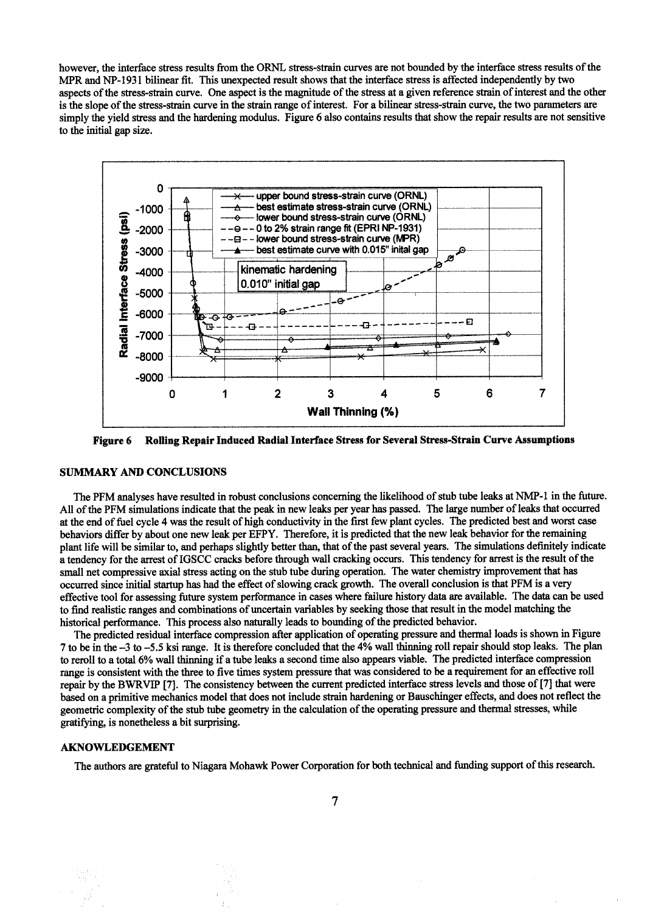however, the interface stress results from the ORNL stress-strain curves are not bounded by the interface stress results of the MPR and NP-1931 bilinear fit. This unexpected result shows that the interface stress is affected independently by two aspects of the stress-strain curve. One aspect is the magnitude of the stress at a given reference strain of interest and the other is the slope of the stress-strain curve in the strain range of interest. For a bilinear stress-strain curve, the two parameters are simply the yield stress and the hardening modulus. Figure 6 also contains results that show the repair results are not sensitive to the initial gap size.



Rolling Repair Induced Radial Interface Stress for Several Stress-Strain Curve Assumptions **Figure 6** 

### **SUMMARY AND CONCLUSIONS**

The PFM analyses have resulted in robust conclusions concerning the likelihood of stub tube leaks at NMP-1 in the future. All of the PFM simulations indicate that the peak in new leaks per year has passed. The large number of leaks that occurred at the end of fuel cycle 4 was the result of high conductivity in the first few plant cycles. The predicted best and worst case behaviors differ by about one new leak per EFPY. Therefore, it is predicted that the new leak behavior for the remaining plant life will be similar to, and perhaps slightly better than, that of the past several years. The simulations definitely indicate a tendency for the arrest of IGSCC cracks before through wall cracking occurs. This tendency for arrest is the result of the small net compressive axial stress acting on the stub tube during operation. The water chemistry improvement that has occurred since initial startup has had the effect of slowing crack growth. The overall conclusion is that PFM is a very effective tool for assessing future system performance in cases where failure history data are available. The data can be used to find realistic ranges and combinations of uncertain variables by seeking those that result in the model matching the historical performance. This process also naturally leads to bounding of the predicted behavior.

The predicted residual interface compression after application of operating pressure and thermal loads is shown in Figure 7 to be in the -3 to -5.5 ksi range. It is therefore concluded that the 4% wall thinning roll repair should stop leaks. The plan to reroll to a total 6% wall thinning if a tube leaks a second time also appears viable. The predicted interface compression range is consistent with the three to five times system pressure that was considered to be a requirement for an effective roll repair by the BWRVIP [7]. The consistency between the current predicted interface stress levels and those of [7] that were based on a primitive mechanics model that does not include strain hardening or Bauschinger effects, and does not reflect the geometric complexity of the stub tube geometry in the calculation of the operating pressure and thermal stresses, while gratifying, is nonetheless a bit surprising.

#### **AKNOWLEDGEMENT**

The authors are grateful to Niagara Mohawk Power Corporation for both technical and funding support of this research.